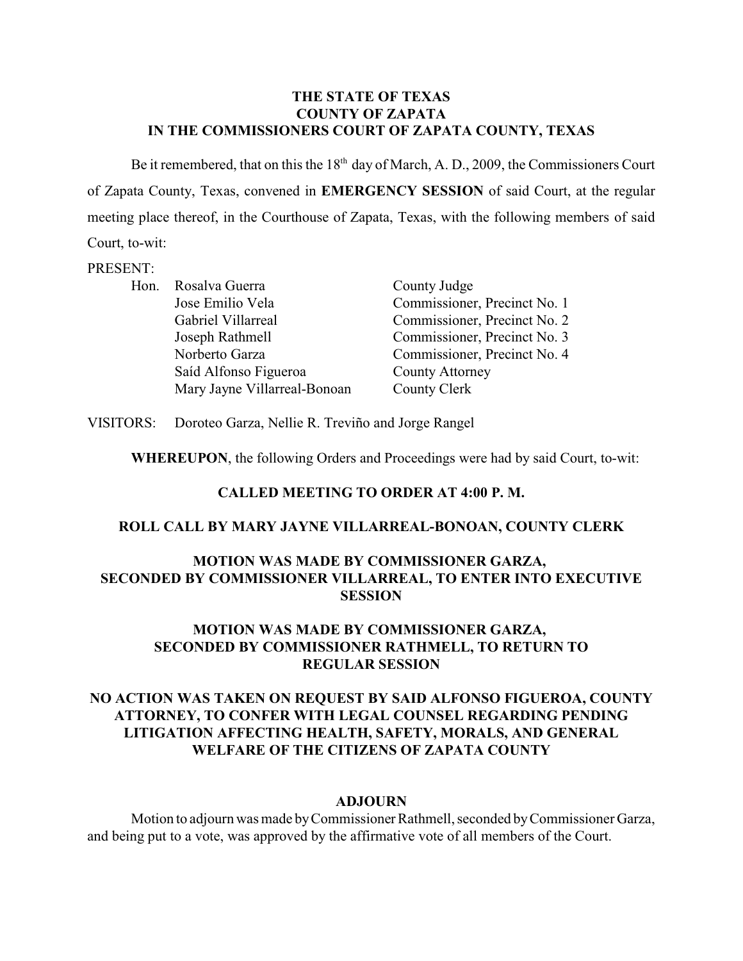### **THE STATE OF TEXAS COUNTY OF ZAPATA IN THE COMMISSIONERS COURT OF ZAPATA COUNTY, TEXAS**

Be it remembered, that on this the  $18<sup>th</sup>$  day of March, A. D., 2009, the Commissioners Court of Zapata County, Texas, convened in **EMERGENCY SESSION** of said Court, at the regular meeting place thereof, in the Courthouse of Zapata, Texas, with the following members of said Court, to-wit:

#### PRESENT:

|  | Hon. Rosalva Guerra          | County Judge                 |
|--|------------------------------|------------------------------|
|  | Jose Emilio Vela             | Commissioner, Precinct No. 1 |
|  | Gabriel Villarreal           | Commissioner, Precinct No. 2 |
|  | Joseph Rathmell              | Commissioner, Precinct No. 3 |
|  | Norberto Garza               | Commissioner, Precinct No. 4 |
|  | Saíd Alfonso Figueroa        | <b>County Attorney</b>       |
|  | Mary Jayne Villarreal-Bonoan | County Clerk                 |

VISITORS: Doroteo Garza, Nellie R. Treviño and Jorge Rangel

**WHEREUPON**, the following Orders and Proceedings were had by said Court, to-wit:

### **CALLED MEETING TO ORDER AT 4:00 P. M.**

### **ROLL CALL BY MARY JAYNE VILLARREAL-BONOAN, COUNTY CLERK**

## **MOTION WAS MADE BY COMMISSIONER GARZA, SECONDED BY COMMISSIONER VILLARREAL, TO ENTER INTO EXECUTIVE SESSION**

## **MOTION WAS MADE BY COMMISSIONER GARZA, SECONDED BY COMMISSIONER RATHMELL, TO RETURN TO REGULAR SESSION**

# **NO ACTION WAS TAKEN ON REQUEST BY SAID ALFONSO FIGUEROA, COUNTY ATTORNEY, TO CONFER WITH LEGAL COUNSEL REGARDING PENDING LITIGATION AFFECTING HEALTH, SAFETY, MORALS, AND GENERAL WELFARE OF THE CITIZENS OF ZAPATA COUNTY**

#### **ADJOURN**

Motion to adjourn was made by Commissioner Rathmell, seconded by Commissioner Garza, and being put to a vote, was approved by the affirmative vote of all members of the Court.